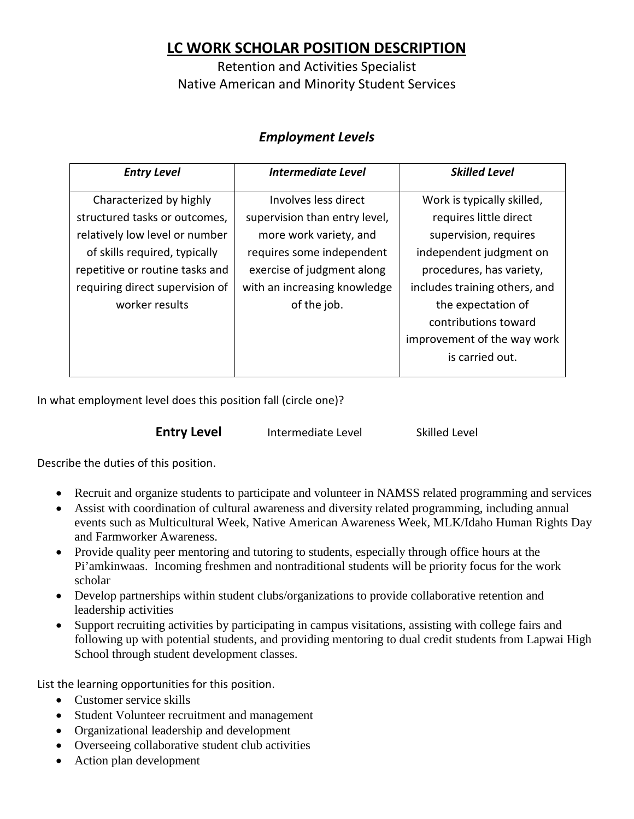## **LC WORK SCHOLAR POSITION DESCRIPTION**

Retention and Activities Specialist Native American and Minority Student Services

## *Employment Levels*

| <b>Entry Level</b>              | <b>Intermediate Level</b>     | <b>Skilled Level</b>          |
|---------------------------------|-------------------------------|-------------------------------|
| Characterized by highly         | Involves less direct          | Work is typically skilled,    |
| structured tasks or outcomes,   | supervision than entry level, | requires little direct        |
| relatively low level or number  | more work variety, and        | supervision, requires         |
| of skills required, typically   | requires some independent     | independent judgment on       |
| repetitive or routine tasks and | exercise of judgment along    | procedures, has variety,      |
| requiring direct supervision of | with an increasing knowledge  | includes training others, and |
| worker results                  | of the job.                   | the expectation of            |
|                                 |                               | contributions toward          |
|                                 |                               | improvement of the way work   |
|                                 |                               | is carried out.               |
|                                 |                               |                               |

In what employment level does this position fall (circle one)?

**Entry Level** Intermediate Level Skilled Level

Describe the duties of this position.

- Recruit and organize students to participate and volunteer in NAMSS related programming and services
- Assist with coordination of cultural awareness and diversity related programming, including annual events such as Multicultural Week, Native American Awareness Week, MLK/Idaho Human Rights Day and Farmworker Awareness.
- Provide quality peer mentoring and tutoring to students, especially through office hours at the Pi'amkinwaas. Incoming freshmen and nontraditional students will be priority focus for the work scholar
- Develop partnerships within student clubs/organizations to provide collaborative retention and leadership activities
- Support recruiting activities by participating in campus visitations, assisting with college fairs and following up with potential students, and providing mentoring to dual credit students from Lapwai High School through student development classes.

List the learning opportunities for this position.

- Customer service skills
- Student Volunteer recruitment and management
- Organizational leadership and development
- Overseeing collaborative student club activities
- Action plan development